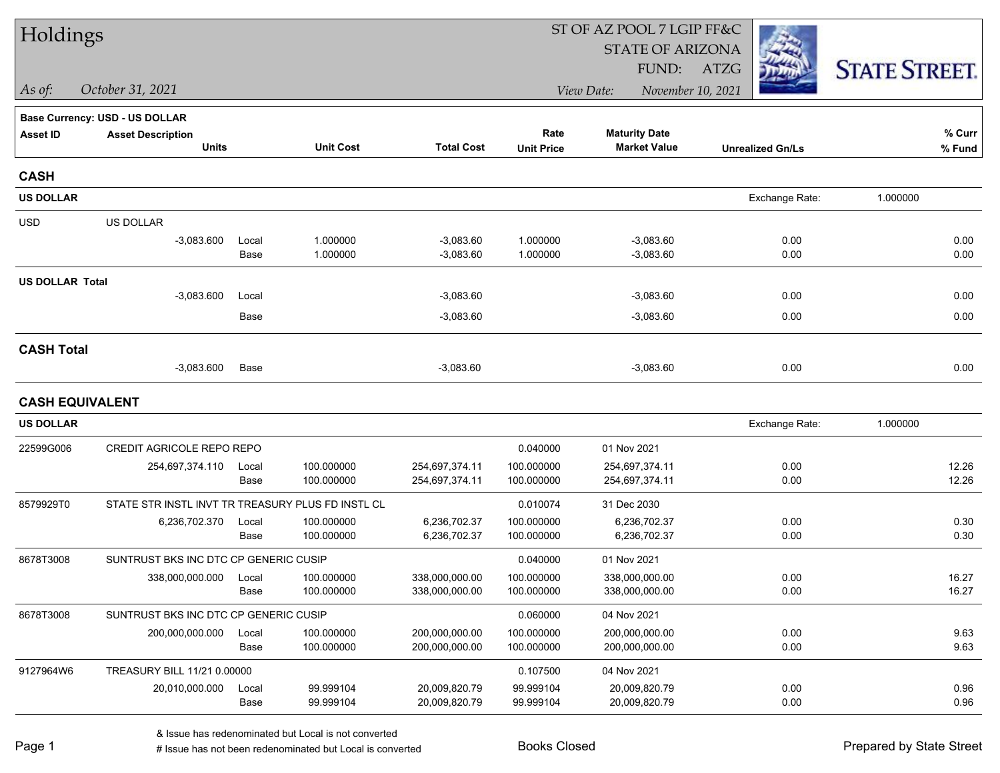| Holdings               |                                                   |       |                  |                   |                   | ST OF AZ POOL 7 LGIP FF&C |                         |                      |  |  |
|------------------------|---------------------------------------------------|-------|------------------|-------------------|-------------------|---------------------------|-------------------------|----------------------|--|--|
|                        |                                                   |       |                  |                   |                   | <b>STATE OF ARIZONA</b>   |                         |                      |  |  |
|                        |                                                   |       |                  |                   |                   | FUND:                     | <b>ATZG</b>             | <b>STATE STREET.</b> |  |  |
| As of:                 | October 31, 2021                                  |       |                  |                   |                   | View Date:                | November 10, 2021       |                      |  |  |
|                        | Base Currency: USD - US DOLLAR                    |       |                  |                   |                   |                           |                         |                      |  |  |
| <b>Asset ID</b>        | <b>Asset Description</b>                          |       |                  |                   | Rate              | <b>Maturity Date</b>      |                         | % Curr               |  |  |
|                        | <b>Units</b>                                      |       | <b>Unit Cost</b> | <b>Total Cost</b> | <b>Unit Price</b> | <b>Market Value</b>       | <b>Unrealized Gn/Ls</b> | $%$ Fund             |  |  |
| <b>CASH</b>            |                                                   |       |                  |                   |                   |                           |                         |                      |  |  |
| <b>US DOLLAR</b>       |                                                   |       |                  |                   |                   |                           | Exchange Rate:          | 1.000000             |  |  |
| <b>USD</b>             | US DOLLAR                                         |       |                  |                   |                   |                           |                         |                      |  |  |
|                        | $-3,083.600$                                      | Local | 1.000000         | $-3,083.60$       | 1.000000          | $-3,083.60$               | 0.00                    | 0.00                 |  |  |
|                        |                                                   | Base  | 1.000000         | $-3,083.60$       | 1.000000          | $-3,083.60$               | 0.00                    | 0.00                 |  |  |
| <b>US DOLLAR Total</b> |                                                   |       |                  |                   |                   |                           |                         |                      |  |  |
|                        | $-3,083.600$                                      | Local |                  | $-3,083.60$       |                   | $-3,083.60$               | 0.00                    | 0.00                 |  |  |
|                        |                                                   | Base  |                  | $-3,083.60$       |                   | $-3,083.60$               | 0.00                    | 0.00                 |  |  |
| <b>CASH Total</b>      |                                                   |       |                  |                   |                   |                           |                         |                      |  |  |
|                        | $-3,083.600$                                      | Base  |                  | $-3,083.60$       |                   | $-3,083.60$               | 0.00                    | 0.00                 |  |  |
| <b>CASH EQUIVALENT</b> |                                                   |       |                  |                   |                   |                           |                         |                      |  |  |
| <b>US DOLLAR</b>       |                                                   |       |                  |                   |                   |                           | Exchange Rate:          | 1.000000             |  |  |
| 22599G006              | CREDIT AGRICOLE REPO REPO                         |       |                  |                   | 0.040000          | 01 Nov 2021               |                         |                      |  |  |
|                        | 254,697,374.110                                   | Local | 100.000000       | 254,697,374.11    | 100.000000        | 254,697,374.11            | 0.00                    | 12.26                |  |  |
|                        |                                                   | Base  | 100.000000       | 254,697,374.11    | 100.000000        | 254,697,374.11            | 0.00                    | 12.26                |  |  |
| 8579929T0              | STATE STR INSTL INVT TR TREASURY PLUS FD INSTL CL |       |                  |                   | 0.010074          | 31 Dec 2030               |                         |                      |  |  |
|                        | 6,236,702.370                                     | Local | 100.000000       | 6,236,702.37      | 100.000000        | 6,236,702.37              | 0.00                    | 0.30                 |  |  |
|                        |                                                   | Base  | 100.000000       | 6,236,702.37      | 100.000000        | 6,236,702.37              | 0.00                    | 0.30                 |  |  |
| 8678T3008              | SUNTRUST BKS INC DTC CP GENERIC CUSIP             |       |                  |                   | 0.040000          | 01 Nov 2021               |                         |                      |  |  |
|                        | 338,000,000.000                                   | Local | 100.000000       | 338,000,000.00    | 100.000000        | 338,000,000.00            | 0.00                    | 16.27                |  |  |
|                        |                                                   | Base  | 100.000000       | 338,000,000.00    | 100.000000        | 338,000,000.00            | 0.00                    | 16.27                |  |  |
| 8678T3008              | SUNTRUST BKS INC DTC CP GENERIC CUSIP             |       |                  |                   | 0.060000          | 04 Nov 2021               |                         |                      |  |  |
|                        | 200,000,000.000                                   | Local | 100.000000       | 200,000,000.00    | 100.000000        | 200,000,000.00            | 0.00                    | 9.63                 |  |  |
|                        |                                                   | Base  | 100.000000       | 200,000,000.00    | 100.000000        | 200,000,000.00            | 0.00                    | 9.63                 |  |  |
| 9127964W6              | TREASURY BILL 11/21 0.00000                       |       |                  |                   | 0.107500          | 04 Nov 2021               |                         |                      |  |  |
|                        | 20,010,000.000                                    | Local | 99.999104        | 20,009,820.79     | 99.999104         | 20,009,820.79             | 0.00                    | 0.96                 |  |  |
|                        |                                                   | Base  | 99.999104        | 20,009,820.79     | 99.999104         | 20,009,820.79             | 0.00                    | 0.96                 |  |  |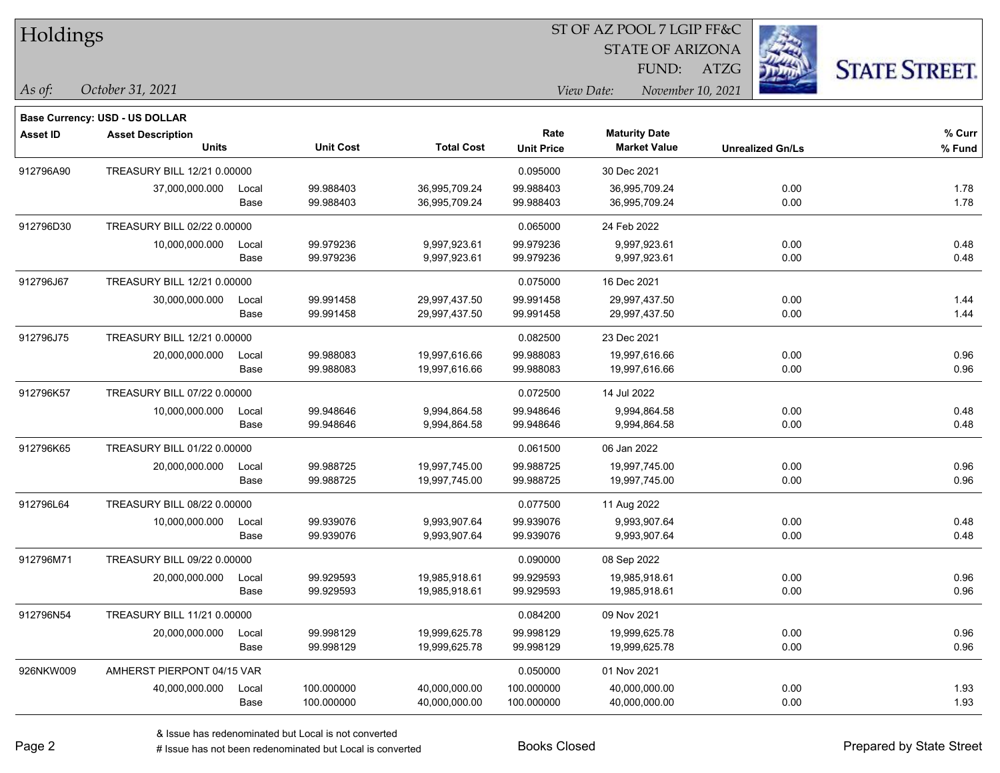| Holdings        |                                |               |                        |                                |                        | ST OF AZ POOL 7 LGIP FF&C       |                         |                      |  |
|-----------------|--------------------------------|---------------|------------------------|--------------------------------|------------------------|---------------------------------|-------------------------|----------------------|--|
|                 |                                |               |                        |                                |                        | <b>STATE OF ARIZONA</b>         |                         |                      |  |
|                 |                                |               |                        |                                |                        | FUND:                           | <b>ATZG</b>             | <b>STATE STREET.</b> |  |
| As of:          | October 31, 2021               |               |                        |                                |                        | View Date:<br>November 10, 2021 |                         |                      |  |
|                 | Base Currency: USD - US DOLLAR |               |                        |                                |                        |                                 |                         |                      |  |
| <b>Asset ID</b> | <b>Asset Description</b>       |               |                        |                                | Rate                   | <b>Maturity Date</b>            |                         | $%$ Curr             |  |
|                 | <b>Units</b>                   |               | <b>Unit Cost</b>       | <b>Total Cost</b>              | <b>Unit Price</b>      | <b>Market Value</b>             | <b>Unrealized Gn/Ls</b> | % Fund               |  |
| 912796A90       | TREASURY BILL 12/21 0.00000    |               |                        |                                | 0.095000               | 30 Dec 2021                     |                         |                      |  |
|                 | 37,000,000.000                 | Local<br>Base | 99.988403<br>99.988403 | 36,995,709.24<br>36,995,709.24 | 99.988403<br>99.988403 | 36,995,709.24<br>36,995,709.24  | 0.00<br>0.00            | 1.78<br>1.78         |  |
| 912796D30       | TREASURY BILL 02/22 0.00000    |               |                        |                                | 0.065000               | 24 Feb 2022                     |                         |                      |  |
|                 | 10,000,000.000                 | Local<br>Base | 99.979236<br>99.979236 | 9,997,923.61<br>9,997,923.61   | 99.979236<br>99.979236 | 9,997,923.61<br>9,997,923.61    | 0.00<br>0.00            | 0.48<br>0.48         |  |
| 912796J67       | TREASURY BILL 12/21 0.00000    |               |                        |                                | 0.075000               | 16 Dec 2021                     |                         |                      |  |
|                 | 30,000,000.000                 | Local<br>Base | 99.991458<br>99.991458 | 29,997,437.50<br>29,997,437.50 | 99.991458<br>99.991458 | 29,997,437.50<br>29,997,437.50  | 0.00<br>0.00            | 1.44<br>1.44         |  |
| 912796J75       | TREASURY BILL 12/21 0.00000    |               |                        |                                | 0.082500               | 23 Dec 2021                     |                         |                      |  |
|                 | 20,000,000.000                 | Local<br>Base | 99.988083<br>99.988083 | 19,997,616.66<br>19,997,616.66 | 99.988083<br>99.988083 | 19,997,616.66<br>19,997,616.66  | 0.00<br>0.00            | 0.96<br>0.96         |  |
| 912796K57       | TREASURY BILL 07/22 0.00000    |               |                        |                                | 0.072500               | 14 Jul 2022                     |                         |                      |  |
|                 | 10,000,000.000                 | Local<br>Base | 99.948646<br>99.948646 | 9,994,864.58<br>9,994,864.58   | 99.948646<br>99.948646 | 9,994,864.58<br>9,994,864.58    | 0.00<br>0.00            | 0.48<br>0.48         |  |
| 912796K65       | TREASURY BILL 01/22 0.00000    |               |                        |                                | 0.061500               | 06 Jan 2022                     |                         |                      |  |
|                 | 20,000,000.000                 | Local<br>Base | 99.988725<br>99.988725 | 19,997,745.00<br>19,997,745.00 | 99.988725<br>99.988725 | 19,997,745.00<br>19,997,745.00  | 0.00<br>0.00            | 0.96<br>0.96         |  |
| 912796L64       | TREASURY BILL 08/22 0.00000    |               |                        |                                | 0.077500               | 11 Aug 2022                     |                         |                      |  |
|                 | 10,000,000.000                 | Local<br>Base | 99.939076<br>99.939076 | 9,993,907.64<br>9,993,907.64   | 99.939076<br>99.939076 | 9,993,907.64<br>9,993,907.64    | 0.00<br>0.00            | 0.48<br>0.48         |  |
| 912796M71       | TREASURY BILL 09/22 0.00000    |               |                        |                                | 0.090000               | 08 Sep 2022                     |                         |                      |  |
|                 | 20,000,000.000                 | Local<br>Base | 99.929593<br>99.929593 | 19,985,918.61<br>19,985,918.61 | 99.929593<br>99.929593 | 19,985,918.61<br>19,985,918.61  | 0.00<br>0.00            | 0.96<br>0.96         |  |
| 912796N54       | TREASURY BILL 11/21 0.00000    |               |                        |                                | 0.084200               | 09 Nov 2021                     |                         |                      |  |
|                 | 20,000,000.000                 | Local<br>Base | 99.998129<br>99.998129 | 19,999,625.78<br>19,999,625.78 | 99.998129<br>99.998129 | 19,999,625.78<br>19,999,625.78  | 0.00<br>0.00            | 0.96<br>0.96         |  |
| 926NKW009       | AMHERST PIERPONT 04/15 VAR     |               |                        |                                | 0.050000               | 01 Nov 2021                     |                         |                      |  |

Base 100.000000 40,000,000.00 100.000000 40,000,000.00 0.00 1.93

40,000,000.000 Local 100.000000 40,000,000.00 100.000000 40,000,000.00 0.00 1.93

ST OF AZ POOL 7 LGIP FF&C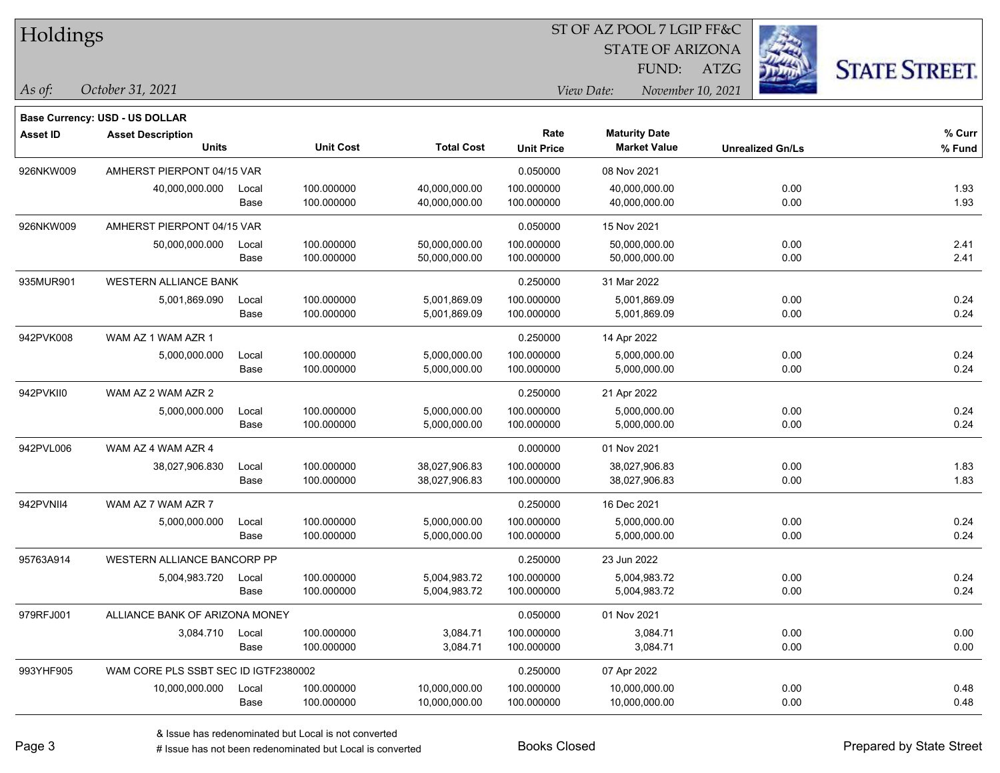| Holdings |
|----------|
|          |

STATE OF ARIZONA

FUND: ATZG



**Base Currency: USD - US DOLLAR**

*October 31, 2021 As of: View Date: November 10, 2021*

| <b>Asset ID</b> | <b>Asset Description</b>             |       |                  |                   | Rate              | <b>Maturity Date</b> |                         | % Curr |
|-----------------|--------------------------------------|-------|------------------|-------------------|-------------------|----------------------|-------------------------|--------|
|                 | <b>Units</b>                         |       | <b>Unit Cost</b> | <b>Total Cost</b> | <b>Unit Price</b> | <b>Market Value</b>  | <b>Unrealized Gn/Ls</b> | % Fund |
| 926NKW009       | AMHERST PIERPONT 04/15 VAR           |       |                  |                   | 0.050000          | 08 Nov 2021          |                         |        |
|                 | 40,000,000.000                       | Local | 100.000000       | 40,000,000.00     | 100.000000        | 40,000,000.00        | 0.00                    | 1.93   |
|                 |                                      | Base  | 100.000000       | 40,000,000.00     | 100.000000        | 40,000,000.00        | 0.00                    | 1.93   |
| 926NKW009       | AMHERST PIERPONT 04/15 VAR           |       |                  |                   | 0.050000          | 15 Nov 2021          |                         |        |
|                 | 50,000,000.000                       | Local | 100.000000       | 50,000,000.00     | 100.000000        | 50,000,000.00        | 0.00                    | 2.41   |
|                 |                                      | Base  | 100.000000       | 50,000,000.00     | 100.000000        | 50,000,000.00        | 0.00                    | 2.41   |
| 935MUR901       | <b>WESTERN ALLIANCE BANK</b>         |       |                  |                   | 0.250000          | 31 Mar 2022          |                         |        |
|                 | 5,001,869.090                        | Local | 100.000000       | 5,001,869.09      | 100.000000        | 5,001,869.09         | 0.00                    | 0.24   |
|                 |                                      | Base  | 100.000000       | 5,001,869.09      | 100.000000        | 5,001,869.09         | 0.00                    | 0.24   |
| 942PVK008       | WAM AZ 1 WAM AZR 1                   |       |                  |                   | 0.250000          | 14 Apr 2022          |                         |        |
|                 | 5,000,000.000                        | Local | 100.000000       | 5,000,000.00      | 100.000000        | 5,000,000.00         | 0.00                    | 0.24   |
|                 |                                      | Base  | 100.000000       | 5,000,000.00      | 100.000000        | 5,000,000.00         | 0.00                    | 0.24   |
| 942PVKII0       | WAM AZ 2 WAM AZR 2                   |       |                  |                   | 0.250000          | 21 Apr 2022          |                         |        |
|                 | 5,000,000.000                        | Local | 100.000000       | 5,000,000.00      | 100.000000        | 5,000,000.00         | 0.00                    | 0.24   |
|                 |                                      | Base  | 100.000000       | 5,000,000.00      | 100.000000        | 5,000,000.00         | 0.00                    | 0.24   |
| 942PVL006       | WAM AZ 4 WAM AZR 4                   |       |                  |                   | 0.000000          | 01 Nov 2021          |                         |        |
|                 | 38,027,906.830                       | Local | 100.000000       | 38,027,906.83     | 100.000000        | 38,027,906.83        | 0.00                    | 1.83   |
|                 |                                      | Base  | 100.000000       | 38,027,906.83     | 100.000000        | 38,027,906.83        | 0.00                    | 1.83   |
| 942PVNII4       | WAM AZ 7 WAM AZR 7                   |       |                  |                   | 0.250000          | 16 Dec 2021          |                         |        |
|                 | 5,000,000.000                        | Local | 100.000000       | 5,000,000.00      | 100.000000        | 5,000,000.00         | 0.00                    | 0.24   |
|                 |                                      | Base  | 100.000000       | 5,000,000.00      | 100.000000        | 5,000,000.00         | 0.00                    | 0.24   |
| 95763A914       | WESTERN ALLIANCE BANCORP PP          |       |                  |                   | 0.250000          | 23 Jun 2022          |                         |        |
|                 | 5,004,983.720                        | Local | 100.000000       | 5,004,983.72      | 100.000000        | 5,004,983.72         | 0.00                    | 0.24   |
|                 |                                      | Base  | 100.000000       | 5,004,983.72      | 100.000000        | 5,004,983.72         | 0.00                    | 0.24   |
| 979RFJ001       | ALLIANCE BANK OF ARIZONA MONEY       |       |                  |                   | 0.050000          | 01 Nov 2021          |                         |        |
|                 | 3,084.710                            | Local | 100.000000       | 3,084.71          | 100.000000        | 3,084.71             | 0.00                    | 0.00   |
|                 |                                      | Base  | 100.000000       | 3,084.71          | 100.000000        | 3,084.71             | 0.00                    | 0.00   |
| 993YHF905       | WAM CORE PLS SSBT SEC ID IGTF2380002 |       |                  |                   | 0.250000          | 07 Apr 2022          |                         |        |
|                 | 10,000,000.000                       | Local | 100.000000       | 10,000,000.00     | 100.000000        | 10,000,000.00        | 0.00                    | 0.48   |
|                 |                                      | Base  | 100.000000       | 10,000,000.00     | 100.000000        | 10,000,000.00        | 0.00                    | 0.48   |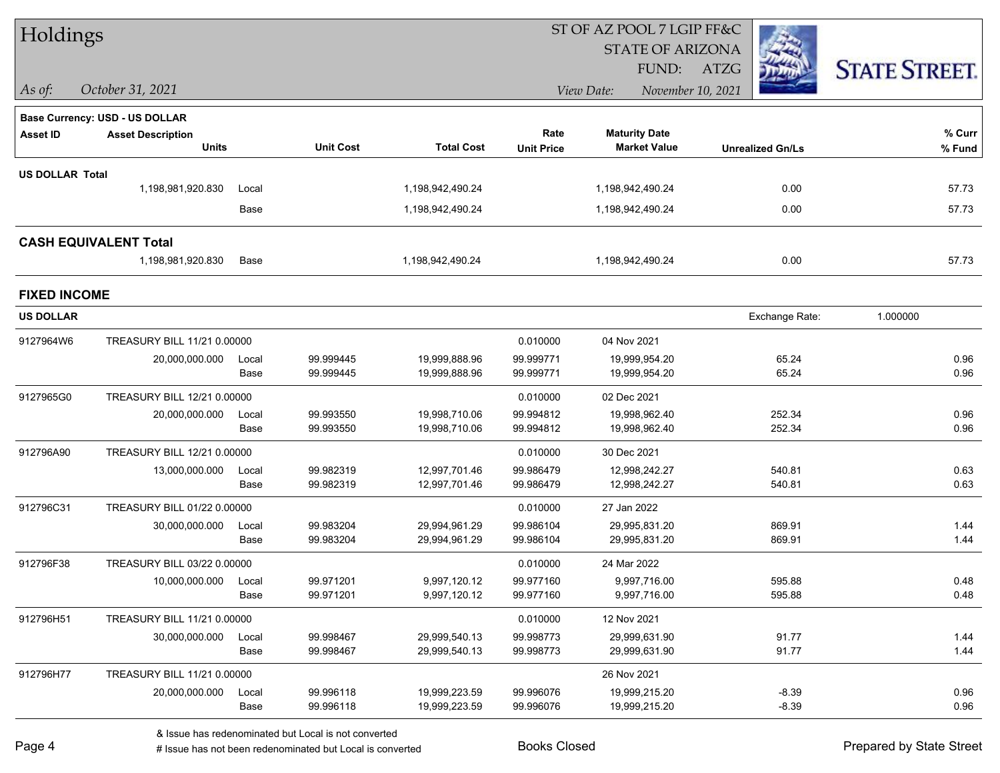| Holdings               |                                       |       |                  |                   |                   |                                 |                         |                      |
|------------------------|---------------------------------------|-------|------------------|-------------------|-------------------|---------------------------------|-------------------------|----------------------|
|                        |                                       |       |                  |                   |                   | <b>STATE OF ARIZONA</b>         |                         |                      |
|                        |                                       |       |                  |                   |                   | FUND:                           | ATZG                    | <b>STATE STREET.</b> |
| $\vert$ As of:         | October 31, 2021                      |       |                  |                   |                   | View Date:<br>November 10, 2021 |                         |                      |
|                        | <b>Base Currency: USD - US DOLLAR</b> |       |                  |                   |                   |                                 |                         |                      |
| <b>Asset ID</b>        | <b>Asset Description</b>              |       |                  |                   | Rate              | <b>Maturity Date</b>            |                         | % Curr               |
|                        | <b>Units</b>                          |       | <b>Unit Cost</b> | <b>Total Cost</b> | <b>Unit Price</b> | <b>Market Value</b>             | <b>Unrealized Gn/Ls</b> | % Fund               |
| <b>US DOLLAR Total</b> |                                       |       |                  |                   |                   |                                 |                         |                      |
|                        | 1,198,981,920.830                     | Local |                  | 1,198,942,490.24  |                   | 1,198,942,490.24                | 0.00                    | 57.73                |
|                        |                                       | Base  |                  | 1,198,942,490.24  |                   | 1,198,942,490.24                | 0.00                    | 57.73                |
|                        | <b>CASH EQUIVALENT Total</b>          |       |                  |                   |                   |                                 |                         |                      |
|                        | 1,198,981,920.830                     | Base  |                  | 1,198,942,490.24  |                   | 1,198,942,490.24                | 0.00                    | 57.73                |
| <b>FIXED INCOME</b>    |                                       |       |                  |                   |                   |                                 |                         |                      |
| <b>US DOLLAR</b>       |                                       |       |                  |                   |                   |                                 | Exchange Rate:          | 1.000000             |
| 9127964W6              | TREASURY BILL 11/21 0.00000           |       |                  |                   | 0.010000          | 04 Nov 2021                     |                         |                      |
|                        | 20,000,000.000                        | Local | 99.999445        | 19,999,888.96     | 99.999771         | 19,999,954.20                   | 65.24                   | 0.96                 |
|                        |                                       | Base  | 99.999445        | 19,999,888.96     | 99.999771         | 19,999,954.20                   | 65.24                   | 0.96                 |
| 9127965G0              | TREASURY BILL 12/21 0.00000           |       |                  |                   | 0.010000          | 02 Dec 2021                     |                         |                      |
|                        | 20,000,000.000                        | Local | 99.993550        | 19,998,710.06     | 99.994812         | 19,998,962.40                   | 252.34                  | 0.96                 |
|                        |                                       | Base  | 99.993550        | 19,998,710.06     | 99.994812         | 19,998,962.40                   | 252.34                  | 0.96                 |
| 912796A90              | TREASURY BILL 12/21 0.00000           |       |                  |                   | 0.010000          | 30 Dec 2021                     |                         |                      |
|                        | 13,000,000.000                        | Local | 99.982319        | 12,997,701.46     | 99.986479         | 12,998,242.27                   | 540.81                  | 0.63                 |
|                        |                                       | Base  | 99.982319        | 12,997,701.46     | 99.986479         | 12,998,242.27                   | 540.81                  | 0.63                 |
| 912796C31              | TREASURY BILL 01/22 0.00000           |       |                  |                   | 0.010000          | 27 Jan 2022                     |                         |                      |
|                        | 30,000,000.000                        | Local | 99.983204        | 29,994,961.29     | 99.986104         | 29,995,831.20                   | 869.91                  | 1.44                 |
|                        |                                       | Base  | 99.983204        | 29,994,961.29     | 99.986104         | 29,995,831.20                   | 869.91                  | 1.44                 |
| 912796F38              | TREASURY BILL 03/22 0.00000           |       |                  |                   | 0.010000          | 24 Mar 2022                     |                         |                      |
|                        | 10,000,000.000                        | Local | 99.971201        | 9,997,120.12      | 99.977160         | 9,997,716.00                    | 595.88                  | 0.48                 |
|                        |                                       | Base  | 99.971201        | 9,997,120.12      | 99.977160         | 9,997,716.00                    | 595.88                  | 0.48                 |
| 912796H51              | TREASURY BILL 11/21 0.00000           |       |                  |                   | 0.010000          | 12 Nov 2021                     |                         |                      |
|                        | 30,000,000.000                        | Local | 99.998467        | 29,999,540.13     | 99.998773         | 29,999,631.90                   | 91.77                   | 1.44                 |
|                        |                                       | Base  | 99.998467        | 29,999,540.13     | 99.998773         | 29,999,631.90                   | 91.77                   | 1.44                 |
| 912796H77              | TREASURY BILL 11/21 0.00000           |       |                  |                   |                   | 26 Nov 2021                     |                         |                      |
|                        | 20,000,000.000                        | Local | 99.996118        | 19,999,223.59     | 99.996076         | 19,999,215.20                   | $-8.39$                 | 0.96                 |
|                        |                                       | Base  | 99.996118        | 19,999,223.59     | 99.996076         | 19,999,215.20                   | $-8.39$                 | 0.96                 |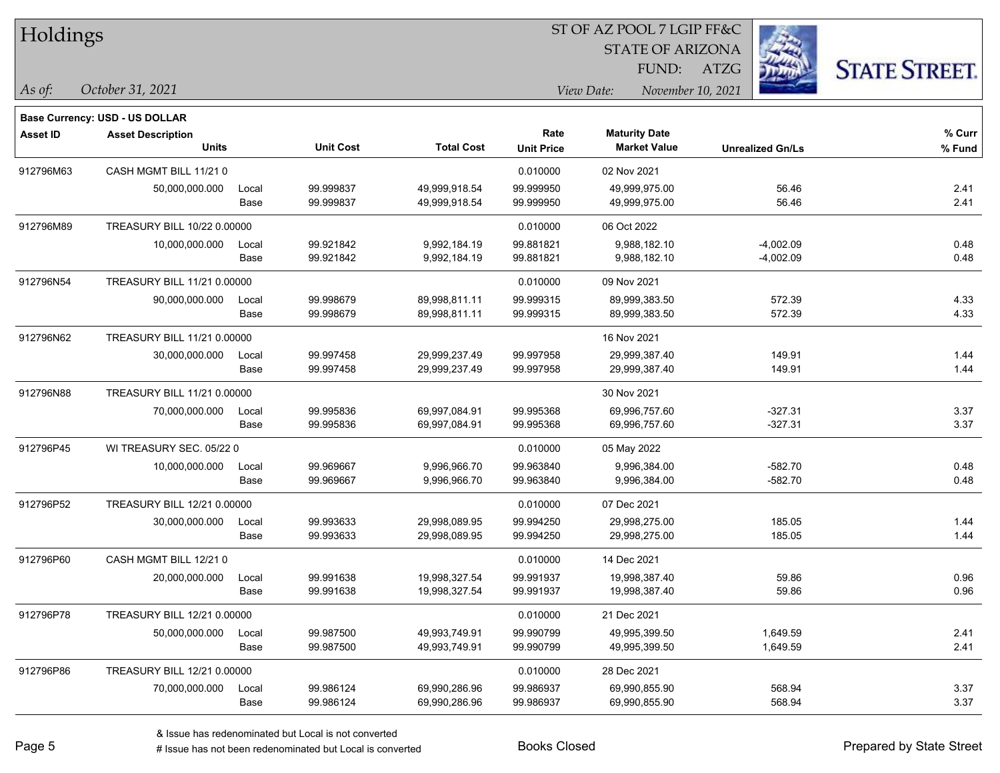| Holdings |
|----------|
|----------|

STATE OF ARIZONA

FUND: ATZG



**Base Currency: USD - US DOLLAR**

*October 31, 2021 As of: View Date: November 10, 2021*

| <b>Asset ID</b> | <b>Asset Description</b>    |       |                  |                   | Rate              | <b>Maturity Date</b> |                         | % Curr   |
|-----------------|-----------------------------|-------|------------------|-------------------|-------------------|----------------------|-------------------------|----------|
|                 | <b>Units</b>                |       | <b>Unit Cost</b> | <b>Total Cost</b> | <b>Unit Price</b> | <b>Market Value</b>  | <b>Unrealized Gn/Ls</b> | $%$ Fund |
| 912796M63       | CASH MGMT BILL 11/210       |       |                  |                   | 0.010000          | 02 Nov 2021          |                         |          |
|                 | 50.000.000.000              | Local | 99.999837        | 49,999,918.54     | 99.999950         | 49,999,975.00        | 56.46                   | 2.41     |
|                 |                             | Base  | 99.999837        | 49,999,918.54     | 99.999950         | 49,999,975.00        | 56.46                   | 2.41     |
| 912796M89       | TREASURY BILL 10/22 0.00000 |       |                  |                   | 0.010000          | 06 Oct 2022          |                         |          |
|                 | 10,000,000.000              | Local | 99.921842        | 9,992,184.19      | 99.881821         | 9,988,182.10         | $-4,002.09$             | 0.48     |
|                 |                             | Base  | 99.921842        | 9,992,184.19      | 99.881821         | 9,988,182.10         | $-4,002.09$             | 0.48     |
| 912796N54       | TREASURY BILL 11/21 0.00000 |       |                  |                   | 0.010000          | 09 Nov 2021          |                         |          |
|                 | 90,000,000.000              | Local | 99.998679        | 89,998,811.11     | 99.999315         | 89,999,383.50        | 572.39                  | 4.33     |
|                 |                             | Base  | 99.998679        | 89,998,811.11     | 99.999315         | 89,999,383.50        | 572.39                  | 4.33     |
| 912796N62       | TREASURY BILL 11/21 0.00000 |       |                  |                   |                   | 16 Nov 2021          |                         |          |
|                 | 30,000,000.000              | Local | 99.997458        | 29,999,237.49     | 99.997958         | 29,999,387.40        | 149.91                  | 1.44     |
|                 |                             | Base  | 99.997458        | 29,999,237.49     | 99.997958         | 29,999,387.40        | 149.91                  | 1.44     |
| 912796N88       | TREASURY BILL 11/21 0.00000 |       |                  |                   |                   | 30 Nov 2021          |                         |          |
|                 | 70,000,000.000              | Local | 99.995836        | 69,997,084.91     | 99.995368         | 69,996,757.60        | $-327.31$               | 3.37     |
|                 |                             | Base  | 99.995836        | 69,997,084.91     | 99.995368         | 69,996,757.60        | $-327.31$               | 3.37     |
| 912796P45       | WI TREASURY SEC. 05/22 0    |       |                  |                   | 0.010000          | 05 May 2022          |                         |          |
|                 | 10,000,000.000              | Local | 99.969667        | 9,996,966.70      | 99.963840         | 9,996,384.00         | $-582.70$               | 0.48     |
|                 |                             | Base  | 99.969667        | 9,996,966.70      | 99.963840         | 9,996,384.00         | $-582.70$               | 0.48     |
| 912796P52       | TREASURY BILL 12/21 0.00000 |       |                  |                   | 0.010000          | 07 Dec 2021          |                         |          |
|                 | 30,000,000.000              | Local | 99.993633        | 29,998,089.95     | 99.994250         | 29,998,275.00        | 185.05                  | 1.44     |
|                 |                             | Base  | 99.993633        | 29,998,089.95     | 99.994250         | 29,998,275.00        | 185.05                  | 1.44     |
| 912796P60       | CASH MGMT BILL 12/210       |       |                  |                   | 0.010000          | 14 Dec 2021          |                         |          |
|                 | 20,000,000.000              | Local | 99.991638        | 19,998,327.54     | 99.991937         | 19,998,387.40        | 59.86                   | 0.96     |
|                 |                             | Base  | 99.991638        | 19,998,327.54     | 99.991937         | 19,998,387.40        | 59.86                   | 0.96     |
| 912796P78       | TREASURY BILL 12/21 0.00000 |       |                  |                   | 0.010000          | 21 Dec 2021          |                         |          |
|                 | 50,000,000.000              | Local | 99.987500        | 49,993,749.91     | 99.990799         | 49,995,399.50        | 1,649.59                | 2.41     |
|                 |                             | Base  | 99.987500        | 49,993,749.91     | 99.990799         | 49,995,399.50        | 1,649.59                | 2.41     |
| 912796P86       | TREASURY BILL 12/21 0.00000 |       |                  |                   | 0.010000          | 28 Dec 2021          |                         |          |
|                 | 70,000,000.000              | Local | 99.986124        | 69,990,286.96     | 99.986937         | 69,990,855.90        | 568.94                  | 3.37     |
|                 |                             | Base  | 99.986124        | 69,990,286.96     | 99.986937         | 69,990,855.90        | 568.94                  | 3.37     |

# Issue has not been redenominated but Local is converted Books Closed Prepared by State Street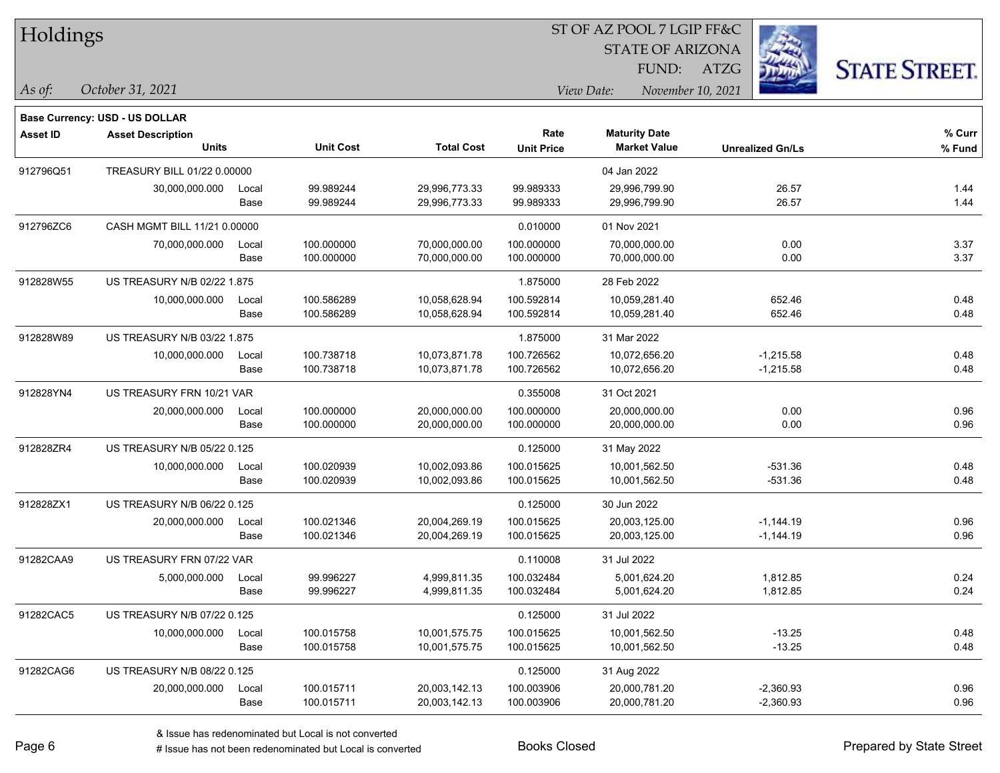| Holdings |
|----------|
|          |

STATE OF ARIZONA

FUND: ATZG



**Base Currency: USD - US DOLLAR**

*October 31, 2021 As of: View Date: November 10, 2021*

| <b>Asset ID</b> | <b>Asset Description</b>     |       |                  |                   | Rate              | <b>Maturity Date</b> |                         | % Curr |
|-----------------|------------------------------|-------|------------------|-------------------|-------------------|----------------------|-------------------------|--------|
|                 | <b>Units</b>                 |       | <b>Unit Cost</b> | <b>Total Cost</b> | <b>Unit Price</b> | <b>Market Value</b>  | <b>Unrealized Gn/Ls</b> | % Fund |
| 912796Q51       | TREASURY BILL 01/22 0.00000  |       |                  |                   |                   | 04 Jan 2022          |                         |        |
|                 | 30.000.000.000               | Local | 99.989244        | 29,996,773.33     | 99.989333         | 29,996,799.90        | 26.57                   | 1.44   |
|                 |                              | Base  | 99.989244        | 29,996,773.33     | 99.989333         | 29,996,799.90        | 26.57                   | 1.44   |
| 912796ZC6       | CASH MGMT BILL 11/21 0.00000 |       |                  |                   | 0.010000          | 01 Nov 2021          |                         |        |
|                 | 70,000,000.000               | Local | 100.000000       | 70,000,000.00     | 100.000000        | 70,000,000.00        | 0.00                    | 3.37   |
|                 |                              | Base  | 100.000000       | 70,000,000.00     | 100.000000        | 70,000,000.00        | 0.00                    | 3.37   |
| 912828W55       | US TREASURY N/B 02/22 1.875  |       |                  |                   | 1.875000          | 28 Feb 2022          |                         |        |
|                 | 10,000,000.000               | Local | 100.586289       | 10,058,628.94     | 100.592814        | 10,059,281.40        | 652.46                  | 0.48   |
|                 |                              | Base  | 100.586289       | 10,058,628.94     | 100.592814        | 10,059,281.40        | 652.46                  | 0.48   |
| 912828W89       | US TREASURY N/B 03/22 1.875  |       |                  |                   | 1.875000          | 31 Mar 2022          |                         |        |
|                 | 10,000,000.000               | Local | 100.738718       | 10,073,871.78     | 100.726562        | 10,072,656.20        | $-1,215.58$             | 0.48   |
|                 |                              | Base  | 100.738718       | 10,073,871.78     | 100.726562        | 10,072,656.20        | $-1,215.58$             | 0.48   |
| 912828YN4       | US TREASURY FRN 10/21 VAR    |       |                  |                   | 0.355008          | 31 Oct 2021          |                         |        |
|                 | 20,000,000.000               | Local | 100.000000       | 20,000,000.00     | 100.000000        | 20,000,000.00        | 0.00                    | 0.96   |
|                 |                              | Base  | 100.000000       | 20,000,000.00     | 100.000000        | 20,000,000.00        | 0.00                    | 0.96   |
| 912828ZR4       | US TREASURY N/B 05/22 0.125  |       |                  |                   | 0.125000          | 31 May 2022          |                         |        |
|                 | 10,000,000.000               | Local | 100.020939       | 10,002,093.86     | 100.015625        | 10,001,562.50        | $-531.36$               | 0.48   |
|                 |                              | Base  | 100.020939       | 10,002,093.86     | 100.015625        | 10,001,562.50        | $-531.36$               | 0.48   |
| 912828ZX1       | US TREASURY N/B 06/22 0.125  |       |                  |                   | 0.125000          | 30 Jun 2022          |                         |        |
|                 | 20,000,000.000               | Local | 100.021346       | 20,004,269.19     | 100.015625        | 20,003,125.00        | $-1,144.19$             | 0.96   |
|                 |                              | Base  | 100.021346       | 20,004,269.19     | 100.015625        | 20,003,125.00        | $-1,144.19$             | 0.96   |
| 91282CAA9       | US TREASURY FRN 07/22 VAR    |       |                  |                   | 0.110008          | 31 Jul 2022          |                         |        |
|                 | 5,000,000.000                | Local | 99.996227        | 4,999,811.35      | 100.032484        | 5,001,624.20         | 1,812.85                | 0.24   |
|                 |                              | Base  | 99.996227        | 4,999,811.35      | 100.032484        | 5,001,624.20         | 1,812.85                | 0.24   |
| 91282CAC5       | US TREASURY N/B 07/22 0.125  |       |                  |                   | 0.125000          | 31 Jul 2022          |                         |        |
|                 | 10,000,000.000               | Local | 100.015758       | 10,001,575.75     | 100.015625        | 10,001,562.50        | $-13.25$                | 0.48   |
|                 |                              | Base  | 100.015758       | 10,001,575.75     | 100.015625        | 10,001,562.50        | $-13.25$                | 0.48   |
| 91282CAG6       | US TREASURY N/B 08/22 0.125  |       |                  |                   | 0.125000          | 31 Aug 2022          |                         |        |
|                 | 20,000,000.000               | Local | 100.015711       | 20,003,142.13     | 100.003906        | 20,000,781.20        | $-2,360.93$             | 0.96   |
|                 |                              | Base  | 100.015711       | 20,003,142.13     | 100.003906        | 20,000,781.20        | $-2,360.93$             | 0.96   |

# Issue has not been redenominated but Local is converted Books Closed Prepared by State Street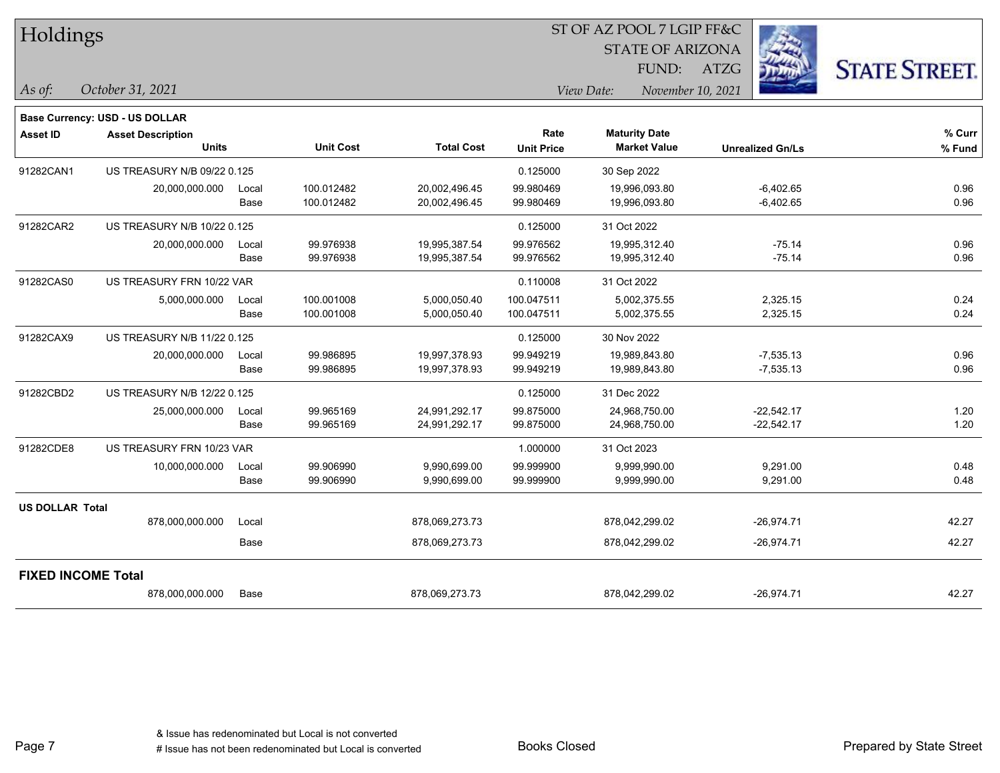| Holdings                  |                                    |       |                  |                   |                   |                                 |                         |                     |
|---------------------------|------------------------------------|-------|------------------|-------------------|-------------------|---------------------------------|-------------------------|---------------------|
|                           |                                    |       |                  |                   |                   | <b>STATE OF ARIZONA</b>         |                         |                     |
|                           |                                    |       |                  |                   |                   | FUND:                           | ATZG                    | <b>STATE STREET</b> |
| As of:                    | October 31, 2021                   |       |                  |                   |                   | View Date:<br>November 10, 2021 |                         |                     |
|                           | Base Currency: USD - US DOLLAR     |       |                  |                   |                   |                                 |                         |                     |
| <b>Asset ID</b>           | <b>Asset Description</b>           |       |                  |                   | Rate              | <b>Maturity Date</b>            |                         | % Curr              |
|                           | Units                              |       | <b>Unit Cost</b> | <b>Total Cost</b> | <b>Unit Price</b> | <b>Market Value</b>             | <b>Unrealized Gn/Ls</b> | % Fund              |
| 91282CAN1                 | US TREASURY N/B 09/22 0.125        |       |                  |                   | 0.125000          | 30 Sep 2022                     |                         |                     |
|                           | 20,000,000.000                     | Local | 100.012482       | 20,002,496.45     | 99.980469         | 19,996,093.80                   | $-6,402.65$             | 0.96                |
|                           |                                    | Base  | 100.012482       | 20,002,496.45     | 99.980469         | 19,996,093.80                   | $-6,402.65$             | 0.96                |
| 91282CAR2                 | US TREASURY N/B 10/22 0.125        |       |                  |                   | 0.125000          | 31 Oct 2022                     |                         |                     |
|                           | 20,000,000.000                     | Local | 99.976938        | 19,995,387.54     | 99.976562         | 19,995,312.40                   | $-75.14$                | 0.96                |
|                           |                                    | Base  | 99.976938        | 19,995,387.54     | 99.976562         | 19,995,312.40                   | $-75.14$                | 0.96                |
| 91282CAS0                 | US TREASURY FRN 10/22 VAR          |       |                  |                   | 0.110008          | 31 Oct 2022                     |                         |                     |
|                           | 5,000,000.000                      | Local | 100.001008       | 5,000,050.40      | 100.047511        | 5,002,375.55                    | 2,325.15                | 0.24                |
|                           |                                    | Base  | 100.001008       | 5,000,050.40      | 100.047511        | 5,002,375.55                    | 2,325.15                | 0.24                |
| 91282CAX9                 | US TREASURY N/B 11/22 0.125        |       |                  |                   | 0.125000          | 30 Nov 2022                     |                         |                     |
|                           | 20,000,000.000                     | Local | 99.986895        | 19,997,378.93     | 99.949219         | 19,989,843.80                   | $-7,535.13$             | 0.96                |
|                           |                                    | Base  | 99.986895        | 19,997,378.93     | 99.949219         | 19,989,843.80                   | $-7,535.13$             | 0.96                |
| 91282CBD2                 | <b>US TREASURY N/B 12/22 0.125</b> |       |                  |                   | 0.125000          | 31 Dec 2022                     |                         |                     |
|                           | 25,000,000.000                     | Local | 99.965169        | 24,991,292.17     | 99.875000         | 24,968,750.00                   | $-22,542.17$            | 1.20                |
|                           |                                    | Base  | 99.965169        | 24,991,292.17     | 99.875000         | 24,968,750.00                   | $-22,542.17$            | 1.20                |
| 91282CDE8                 | US TREASURY FRN 10/23 VAR          |       |                  |                   | 1.000000          | 31 Oct 2023                     |                         |                     |
|                           | 10,000,000.000                     | Local | 99.906990        | 9,990,699.00      | 99.999900         | 9,999,990.00                    | 9,291.00                | 0.48                |
|                           |                                    | Base  | 99.906990        | 9,990,699.00      | 99.999900         | 9,999,990.00                    | 9,291.00                | 0.48                |
| <b>US DOLLAR Total</b>    |                                    |       |                  |                   |                   |                                 |                         |                     |
|                           | 878,000,000.000                    | Local |                  | 878,069,273.73    |                   | 878,042,299.02                  | $-26,974.71$            | 42.27               |
|                           |                                    | Base  |                  | 878,069,273.73    |                   | 878,042,299.02                  | $-26,974.71$            | 42.27               |
| <b>FIXED INCOME Total</b> |                                    |       |                  |                   |                   |                                 |                         |                     |
|                           | 878,000,000.000                    | Base  |                  | 878,069,273.73    |                   | 878,042,299.02                  | $-26.974.71$            | 42.27               |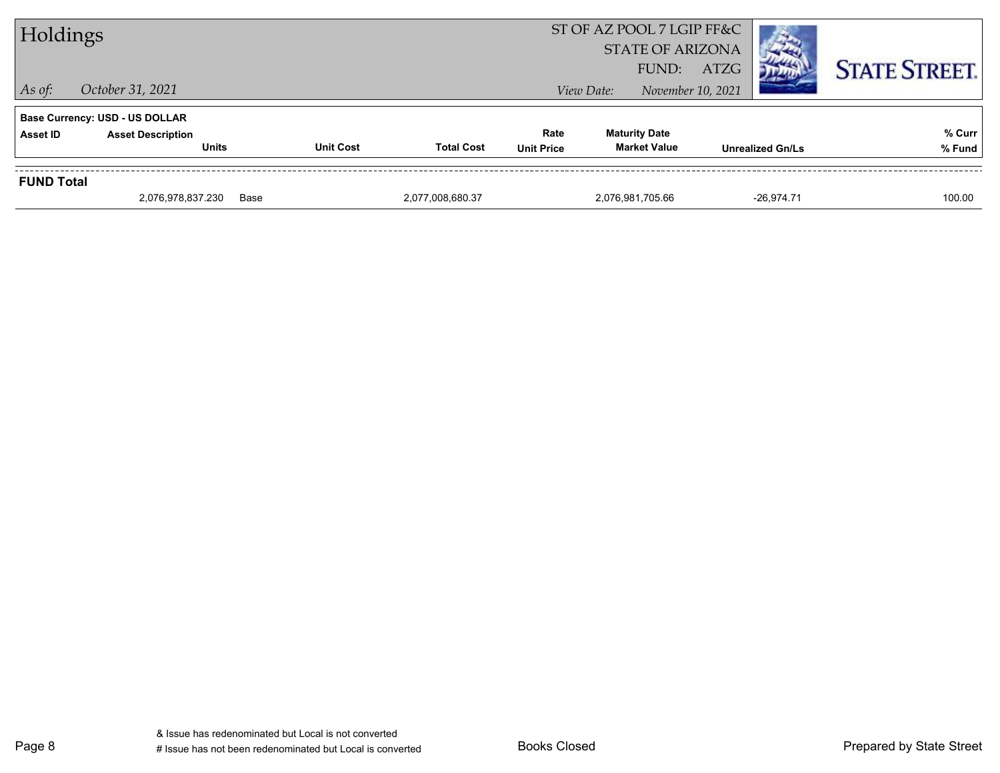| $\vert$ As of:  | <b>STATE OF ARIZONA</b><br><b>STATE STREET.</b><br>FUND:<br>ATZG<br>November 10, 2021<br>October 31, 2021<br>View Date: |                  |                   |                           |                                             |                         |                  |  |  |
|-----------------|-------------------------------------------------------------------------------------------------------------------------|------------------|-------------------|---------------------------|---------------------------------------------|-------------------------|------------------|--|--|
| <b>Asset ID</b> | <b>Base Currency: USD - US DOLLAR</b><br><b>Asset Description</b><br><b>Units</b>                                       | <b>Unit Cost</b> | <b>Total Cost</b> | Rate<br><b>Unit Price</b> | <b>Maturity Date</b><br><b>Market Value</b> | <b>Unrealized Gn/Ls</b> | % Curr<br>% Fund |  |  |
|                 | <b>FUND Total</b>                                                                                                       |                  |                   |                           |                                             |                         |                  |  |  |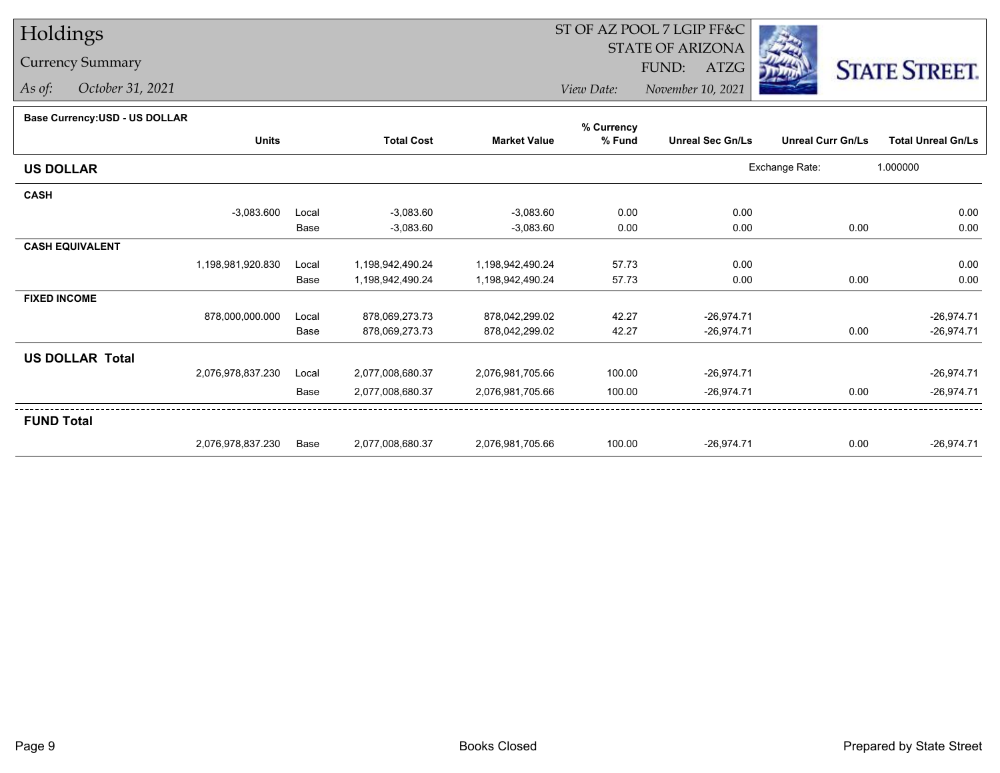# Holdings

### Currency Summary

*As of: October 31, 2021*

## ST OF AZ POOL 7 LGIP FF&C

STATE OF ARIZONA

FUND: ATZG



*View Date:November 10, 2021*

#### **Base Currency:USD - US DOLLAR**

|                        |                   |       |                   |                     | % Currency |                         |                          |                           |
|------------------------|-------------------|-------|-------------------|---------------------|------------|-------------------------|--------------------------|---------------------------|
|                        | <b>Units</b>      |       | <b>Total Cost</b> | <b>Market Value</b> | % Fund     | <b>Unreal Sec Gn/Ls</b> | <b>Unreal Curr Gn/Ls</b> | <b>Total Unreal Gn/Ls</b> |
| <b>US DOLLAR</b>       |                   |       |                   |                     |            |                         | Exchange Rate:           | 1.000000                  |
| <b>CASH</b>            |                   |       |                   |                     |            |                         |                          |                           |
|                        | $-3,083.600$      | Local | $-3,083.60$       | $-3,083.60$         | 0.00       | 0.00                    |                          | 0.00                      |
|                        |                   | Base  | $-3,083.60$       | $-3,083.60$         | 0.00       | 0.00                    | 0.00                     | 0.00                      |
| <b>CASH EQUIVALENT</b> |                   |       |                   |                     |            |                         |                          |                           |
|                        | 1,198,981,920.830 | Local | 1,198,942,490.24  | 1,198,942,490.24    | 57.73      | 0.00                    |                          | 0.00                      |
|                        |                   | Base  | 1,198,942,490.24  | 1,198,942,490.24    | 57.73      | 0.00                    | 0.00                     | 0.00                      |
| <b>FIXED INCOME</b>    |                   |       |                   |                     |            |                         |                          |                           |
|                        | 878,000,000.000   | Local | 878,069,273.73    | 878,042,299.02      | 42.27      | $-26,974.71$            |                          | $-26,974.71$              |
|                        |                   | Base  | 878,069,273.73    | 878,042,299.02      | 42.27      | $-26,974.71$            | 0.00                     | $-26,974.71$              |
| <b>US DOLLAR Total</b> |                   |       |                   |                     |            |                         |                          |                           |
|                        | 2,076,978,837.230 | Local | 2,077,008,680.37  | 2,076,981,705.66    | 100.00     | $-26,974.71$            |                          | $-26,974.71$              |
|                        |                   | Base  | 2,077,008,680.37  | 2,076,981,705.66    | 100.00     | $-26,974.71$            | 0.00                     | $-26,974.71$              |
| <b>FUND Total</b>      |                   |       |                   |                     |            |                         |                          |                           |
|                        | 2,076,978,837.230 | Base  | 2,077,008,680.37  | 2,076,981,705.66    | 100.00     | $-26,974.71$            | 0.00                     | $-26,974.71$              |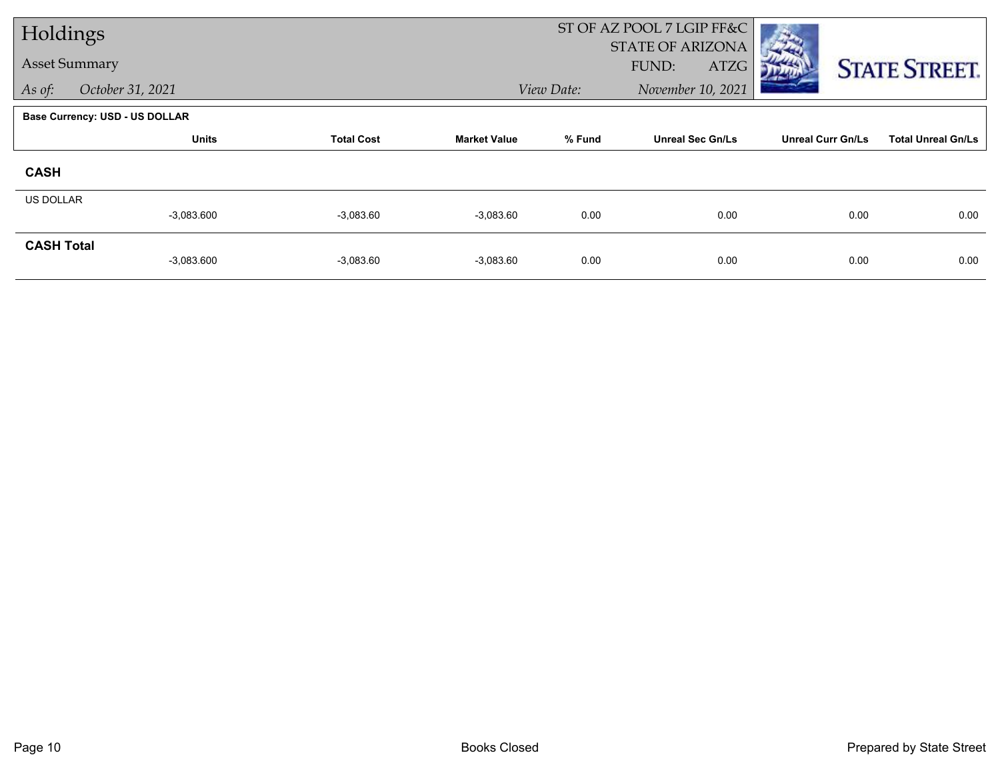| Holdings             |                                       |                   |                     |            | ST OF AZ POOL 7 LGIP FF&C                |                          |                           |
|----------------------|---------------------------------------|-------------------|---------------------|------------|------------------------------------------|--------------------------|---------------------------|
| <b>Asset Summary</b> |                                       |                   |                     |            | <b>STATE OF ARIZONA</b><br>FUND:<br>ATZG |                          | <b>STATE STREET.</b>      |
| As of:               | October 31, 2021                      |                   |                     | View Date: | November 10, 2021                        |                          |                           |
|                      | <b>Base Currency: USD - US DOLLAR</b> |                   |                     |            |                                          |                          |                           |
|                      | <b>Units</b>                          | <b>Total Cost</b> | <b>Market Value</b> | % Fund     | <b>Unreal Sec Gn/Ls</b>                  | <b>Unreal Curr Gn/Ls</b> | <b>Total Unreal Gn/Ls</b> |
| <b>CASH</b>          |                                       |                   |                     |            |                                          |                          |                           |
| <b>US DOLLAR</b>     |                                       |                   |                     |            |                                          |                          |                           |
|                      | $-3,083.600$                          | $-3,083.60$       | $-3,083.60$         | 0.00       | 0.00                                     | 0.00                     | 0.00                      |
| <b>CASH Total</b>    |                                       |                   |                     |            |                                          |                          |                           |
|                      | $-3,083.600$                          | $-3,083.60$       | $-3,083.60$         | 0.00       | 0.00                                     | 0.00                     | 0.00                      |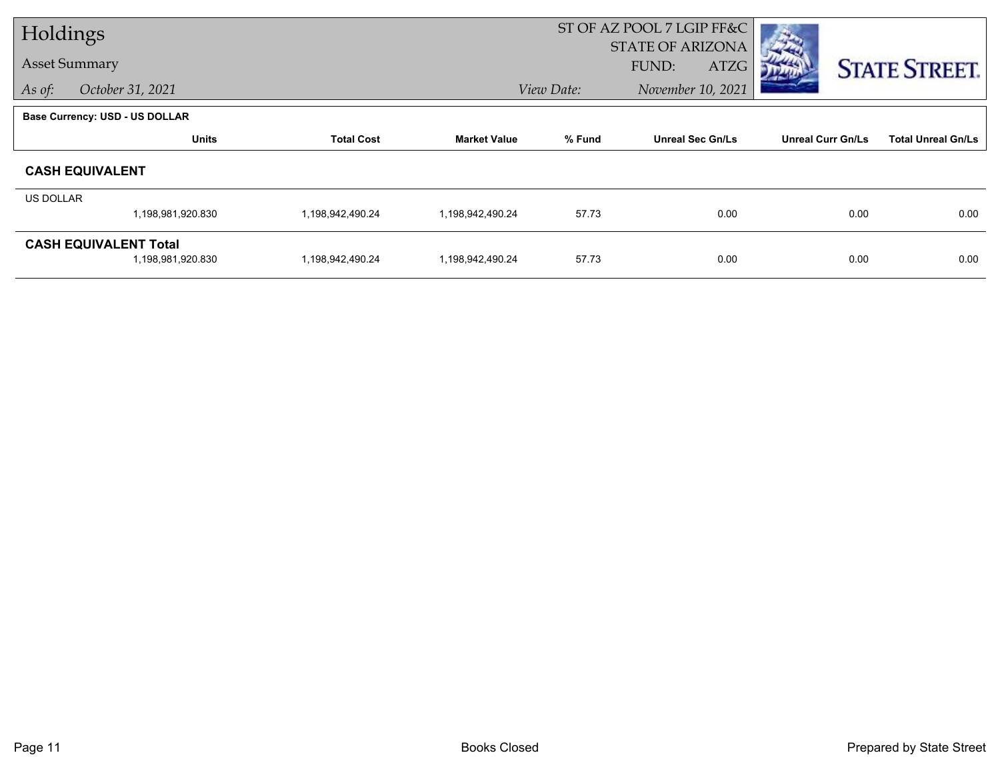| Holdings  |                                       |                   |                     | ST OF AZ POOL 7 LGIP FF&C |                                          |                          |                           |
|-----------|---------------------------------------|-------------------|---------------------|---------------------------|------------------------------------------|--------------------------|---------------------------|
|           | <b>Asset Summary</b>                  |                   |                     |                           | <b>STATE OF ARIZONA</b><br>FUND:<br>ATZG |                          |                           |
| As of:    | October 31, 2021                      |                   |                     | View Date:                | November 10, 2021                        |                          | <b>STATE STREET.</b>      |
|           |                                       |                   |                     |                           |                                          |                          |                           |
|           | <b>Base Currency: USD - US DOLLAR</b> |                   |                     |                           |                                          |                          |                           |
|           | <b>Units</b>                          | <b>Total Cost</b> | <b>Market Value</b> | % Fund                    | <b>Unreal Sec Gn/Ls</b>                  | <b>Unreal Curr Gn/Ls</b> | <b>Total Unreal Gn/Ls</b> |
|           | <b>CASH EQUIVALENT</b>                |                   |                     |                           |                                          |                          |                           |
| US DOLLAR |                                       |                   |                     |                           |                                          |                          |                           |
|           | 1,198,981,920.830                     | 1,198,942,490.24  | 1,198,942,490.24    | 57.73                     | 0.00                                     | 0.00                     | 0.00                      |
|           | <b>CASH EQUIVALENT Total</b>          |                   |                     |                           |                                          |                          |                           |
|           | 1,198,981,920.830                     | 1,198,942,490.24  | 1,198,942,490.24    | 57.73                     | 0.00                                     | 0.00                     | 0.00                      |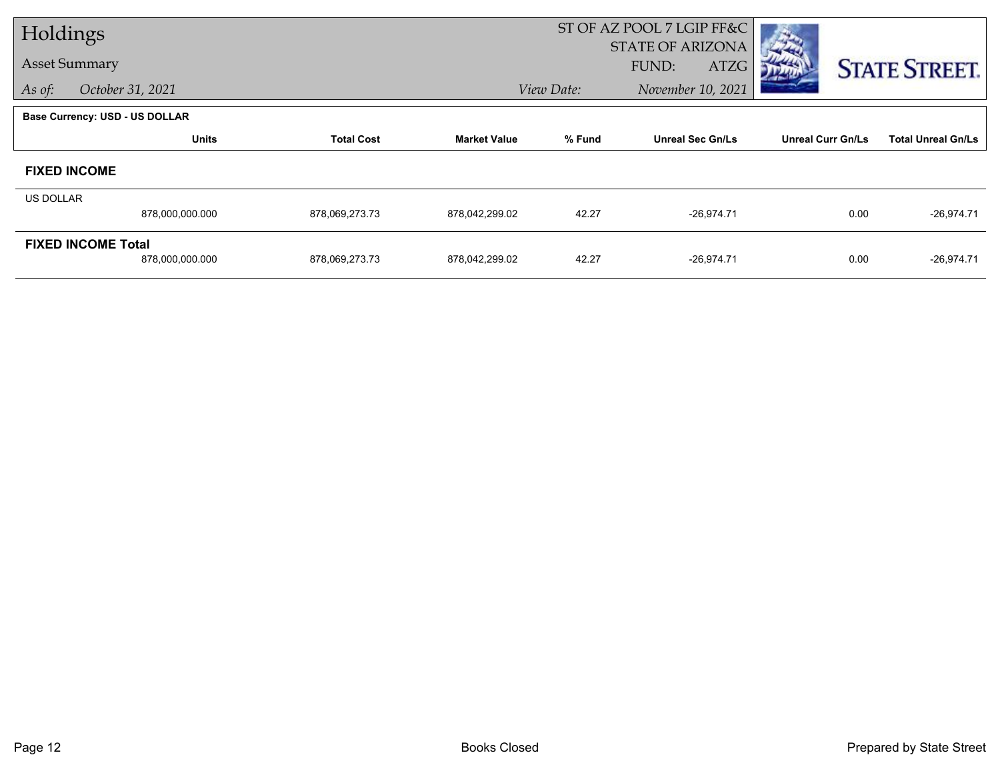| Holdings             |                                       |                   |                     |            | ST OF AZ POOL 7 LGIP FF&C |                          |                           |
|----------------------|---------------------------------------|-------------------|---------------------|------------|---------------------------|--------------------------|---------------------------|
|                      |                                       |                   |                     |            | <b>STATE OF ARIZONA</b>   |                          |                           |
| <b>Asset Summary</b> |                                       |                   |                     |            | FUND:<br><b>ATZG</b>      |                          | <b>STATE STREET.</b>      |
| As of:               | October 31, 2021                      |                   |                     | View Date: | November 10, 2021         |                          |                           |
|                      | <b>Base Currency: USD - US DOLLAR</b> |                   |                     |            |                           |                          |                           |
|                      | <b>Units</b>                          | <b>Total Cost</b> | <b>Market Value</b> | % Fund     | <b>Unreal Sec Gn/Ls</b>   | <b>Unreal Curr Gn/Ls</b> | <b>Total Unreal Gn/Ls</b> |
|                      | <b>FIXED INCOME</b>                   |                   |                     |            |                           |                          |                           |
| <b>US DOLLAR</b>     |                                       |                   |                     |            |                           |                          |                           |
|                      | 878,000,000.000                       | 878,069,273.73    | 878,042,299.02      | 42.27      | $-26,974.71$              | 0.00                     | $-26,974.71$              |
|                      | <b>FIXED INCOME Total</b>             |                   |                     |            |                           |                          |                           |
|                      | 878,000,000.000                       | 878,069,273.73    | 878,042,299.02      | 42.27      | $-26,974.71$              | 0.00                     | $-26,974.71$              |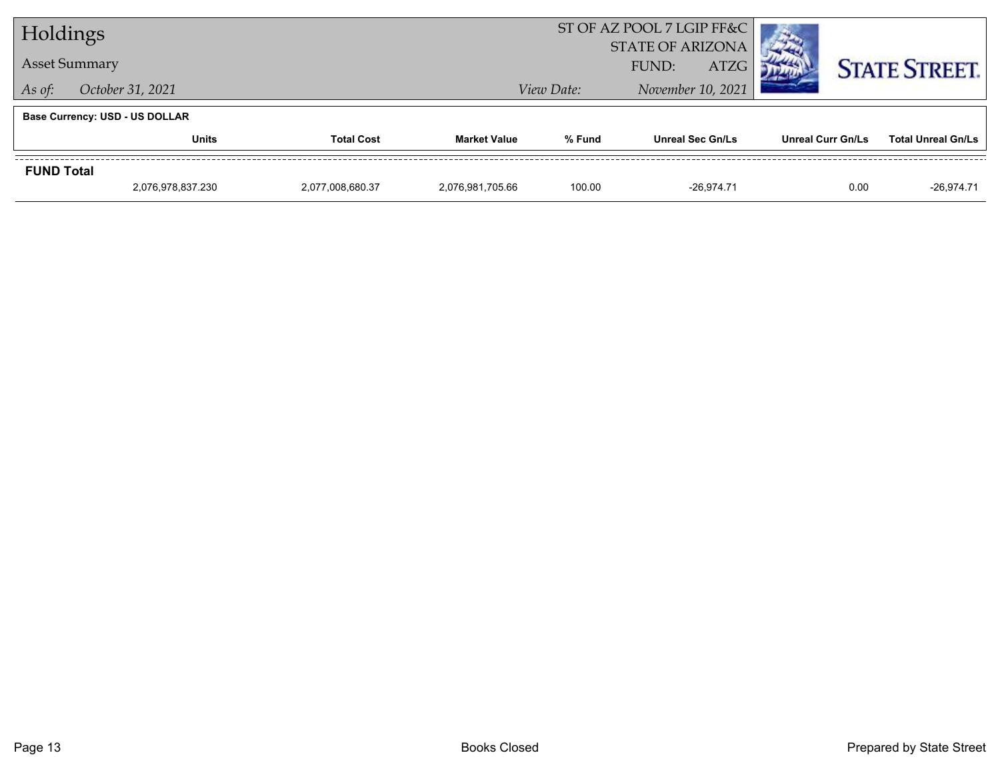| Holdings             |                                       |                  |                     | ST OF AZ POOL 7 LGIP FF&C |                                           |              |                          |                           |
|----------------------|---------------------------------------|------------------|---------------------|---------------------------|-------------------------------------------|--------------|--------------------------|---------------------------|
| <b>Asset Summary</b> |                                       |                  |                     | <b>STATE OF ARIZONA</b>   |                                           |              |                          |                           |
|                      |                                       |                  | View Date:          |                           | <b>ATZG</b><br>FUND:<br>November 10, 2021 |              | <b>STATE STREET.</b>     |                           |
| As of:               | October 31, 2021                      |                  |                     |                           |                                           |              |                          |                           |
|                      | <b>Base Currency: USD - US DOLLAR</b> |                  |                     |                           |                                           |              |                          |                           |
|                      | <b>Total Cost</b><br><b>Units</b>     |                  | <b>Market Value</b> | % Fund                    | <b>Unreal Sec Gn/Ls</b>                   |              | <b>Unreal Curr Gn/Ls</b> | <b>Total Unreal Gn/Ls</b> |
| <b>FUND Total</b>    |                                       |                  |                     |                           |                                           |              |                          |                           |
|                      | 2,076,978,837.230                     | 2,077,008,680.37 | 2,076,981,705.66    | 100.00                    |                                           | $-26.974.71$ |                          | 0.00<br>$-26,974.71$      |